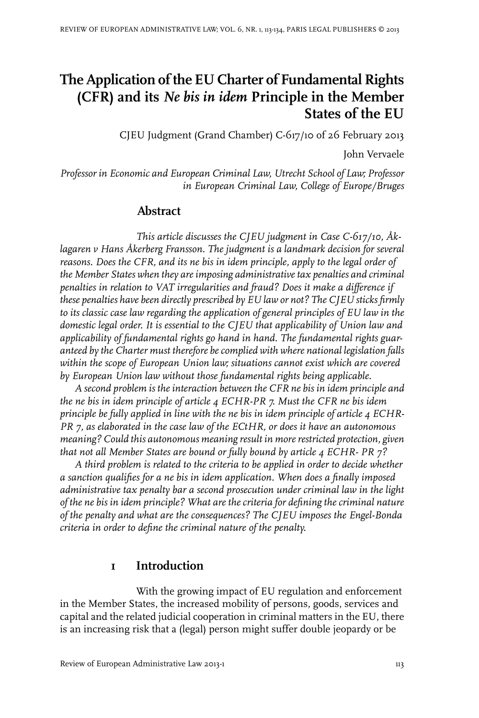# **The Application of the EU Charter of Fundamental Rights (CFR) and its** *Ne bis in idem* **Principle in the Member States of the EU**

CJEU Judgment (Grand Chamber) C-617/10 of 26 February 2013

John Vervaele

*Professor in Economic and European Criminal Law, Utrecht School of Law; Professor in European Criminal Law, College of Europe/Bruges*

### **Abstract**

*This article discusses the CJEU judgment in Case C-617/10, Åklagaren v Hans Åkerberg Fransson. The judgment is a landmark decision for several reasons. Does the CFR, and its ne bis in idem principle, apply to the legal order of the Member States when they are imposing administrative tax penalties and criminal penalties in relation to VAT irregularities and fraud? Does it make a difference if these penalties have been directly prescribed by EU law or not? The CJEU sticks firmly to its classic case law regarding the application of general principles of EU law in the domestic legal order. It is essential to the CJEU that applicability of Union law and applicability of fundamental rights go hand in hand. The fundamental rights guaranteed by the Charter must therefore be complied with where national legislation falls within the scope of European Union law; situations cannot exist which are covered by European Union law without those fundamental rights being applicable.*

*A second problem is the interaction between the CFR ne bis in idem principle and the ne bis in idem principle of article 4 ECHR-PR 7. Must the CFR ne bis idem principle be fully applied in line with the ne bis in idem principle of article 4 ECHR-PR 7, as elaborated in the case law of the ECtHR, or does it have an autonomous meaning? Could this autonomous meaning result in morerestricted protection, given that not all Member States are bound or fully bound by article 4 ECHR- PR 7?*

*A third problem is related to the criteria to be applied in order to decide whether a sanction qualifies for a ne bis in idem application. When does a finally imposed administrative tax penalty bar a second prosecution under criminal law in the light of the ne bis in idem principle? What are the criteria for defining the criminal nature of the penalty and what are the consequences? The CJEU imposes the Engel-Bonda criteria in order to define the criminal nature of the penalty.*

### **1 Introduction**

With the growing impact of EU regulation and enforcement in the Member States, the increased mobility of persons, goods, services and capital and the related judicial cooperation in criminal matters in the EU, there is an increasing risk that a (legal) person might suffer double jeopardy or be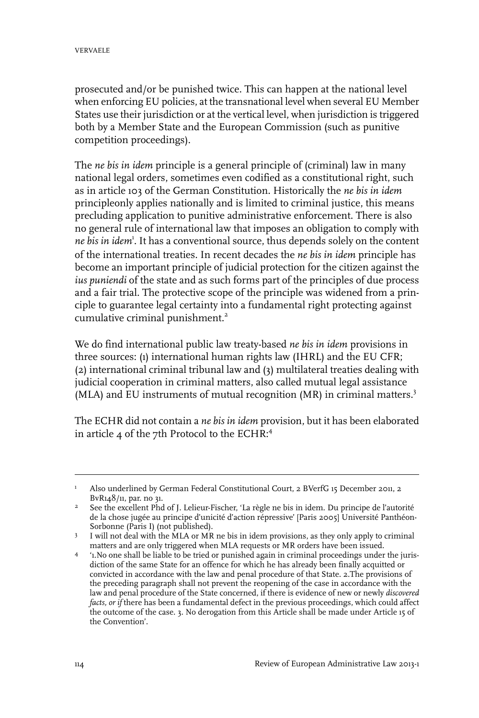prosecuted and/or be punished twice. This can happen at the national level when enforcing EU policies, at the transnational level when several EU Member States use their jurisdiction or at the vertical level, when jurisdiction is triggered both by a Member State and the European Commission (such as punitive competition proceedings).

The *ne bis in idem* principle is a general principle of (criminal) law in many national legal orders, sometimes even codified as a constitutional right, such as in article 103 of the German Constitution. Historically the *ne bis in idem* principleonly applies nationally and is limited to criminal justice, this means precluding application to punitive administrative enforcement. There is also no general rule of international law that imposes an obligation to comply with *ne bis in idem*<sup>1</sup> . It has a conventional source, thus depends solely on the content of the international treaties. In recent decades the *ne bis in idem* principle has become an important principle of judicial protection for the citizen against the *ius puniendi* of the state and as such forms part of the principles of due process and a fair trial. The protective scope of the principle was widened from a principle to guarantee legal certainty into a fundamental right protecting against cumulative criminal punishment.<sup>2</sup>

We do find international public law treaty-based *ne bis in idem* provisions in three sources: (1) international human rights law (IHRL) and the EU CFR; (2) international criminal tribunal law and (3) multilateral treaties dealing with judicial cooperation in criminal matters, also called mutual legal assistance (MLA) and EU instruments of mutual recognition (MR) in criminal matters.<sup>3</sup>

The ECHR did not contain a *ne bis in idem* provision, but it has been elaborated in article 4 of the 7th Protocol to the ECHR:<sup>4</sup>

Also underlined by German Federal Constitutional Court, 2 BVerfG 15 December 2011, 2 BvR148/11, par. no 31. 1

See the excellent Phd of J. Lelieur-Fischer, 'La règle ne bis in idem. Du principe de l'autorité de la chose jugée au principe d'unicité d'action répressive' [Paris 2005] Université Panthéon-Sorbonne (Paris I) (not published). 2

I will not deal with the MLA or MR ne bis in idem provisions, as they only apply to criminal matters and are only triggered when MLA requests or MR orders have been issued. 3

<sup>&#</sup>x27;1.No one shall be liable to be tried or punished again in criminal proceedings under the jurisdiction of the same State for an offence for which he has already been finally acquitted or 4 convicted in accordance with the law and penal procedure of that State. 2.The provisions of the preceding paragraph shall not prevent the reopening of the case in accordance with the law and penal procedure of the State concerned, if there is evidence of new or newly *discovered facts, or if* there has been a fundamental defect in the previous proceedings, which could affect the outcome of the case. 3. No derogation from this Article shall be made under Article 15 of the Convention'.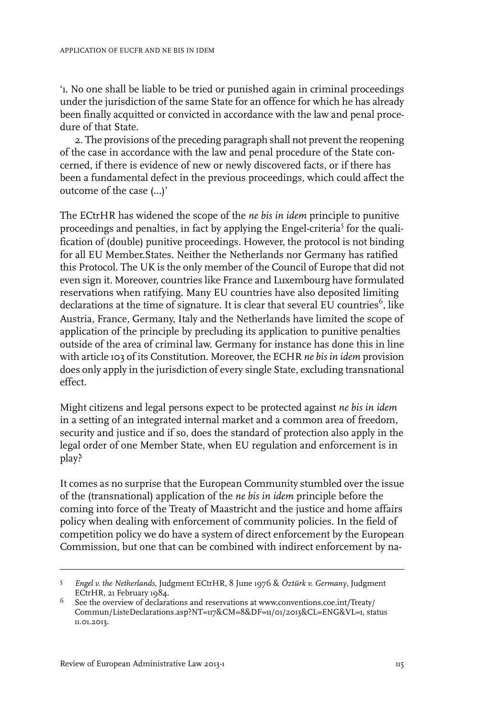'1. No one shall be liable to be tried or punished again in criminal proceedings under the jurisdiction of the same State for an offence for which he has already been finally acquitted or convicted in accordance with the law and penal procedure of that State.

2. The provisions of the preceding paragraph shall not prevent the reopening of the case in accordance with the law and penal procedure of the State concerned, if there is evidence of new or newly discovered facts, or if there has been a fundamental defect in the previous proceedings, which could affect the outcome of the case (…)'

The ECtrHR has widened the scope of the *ne bis in idem* principle to punitive proceedings and penalties, in fact by applying the Engel-criteria<sup>5</sup> for the qualification of (double) punitive proceedings. However, the protocol is not binding for all EU Member.States. Neither the Netherlands nor Germany has ratified this Protocol. The UK is the only member of the Council of Europe that did not even sign it. Moreover, countries like France and Luxembourg have formulated reservations when ratifying. Many EU countries have also deposited limiting declarations at the time of signature. It is clear that several EU countries $^6$ , like Austria, France, Germany, Italy and the Netherlands have limited the scope of application of the principle by precluding its application to punitive penalties outside of the area of criminal law. Germany for instance has done this in line with article 103 of its Constitution. Moreover, the ECHR *ne bis in idem* provision does only apply in the jurisdiction of every single State, excluding transnational effect.

Might citizens and legal persons expect to be protected against *ne bis in idem* in a setting of an integrated internal market and a common area of freedom, security and justice and if so, does the standard of protection also apply in the legal order of one Member State, when EU regulation and enforcement is in play?

It comes as no surprise that the European Community stumbled over the issue of the (transnational) application of the *ne bis in idem* principle before the coming into force of the Treaty of Maastricht and the justice and home affairs policy when dealing with enforcement of community policies. In the field of competition policy we do have a system of direct enforcement by the European Commission, but one that can be combined with indirect enforcement by na-

*Engel v. the Netherlands*, Judgment ECtrHR, 8 June 1976 & *Öztürk v. Germany*, Judgment 5 ECtrHR, 21 February 1984.

 $^6$  See the overview of declarations and reservations at www.conventions.coe.int/Treaty/ Commun/ListeDeclarations.asp?NT=117&CM=8&DF=11/01/2013&CL=ENG&VL=1, status 11.01.2013.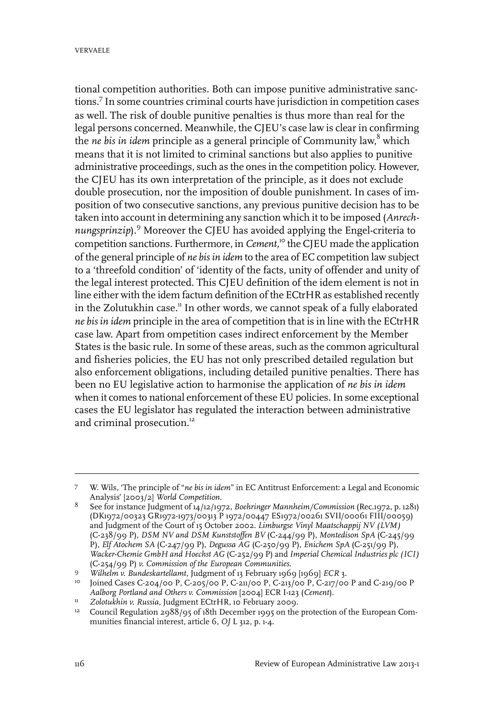tional competition authorities. Both can impose punitive administrative sanctions.<sup>7</sup> In some countries criminal courts have jurisdiction in competition cases as well. The risk of double punitive penalties is thus more than real for the legal persons concerned. Meanwhile, the CJEU's case law is clear in confirming the *ne bis in idem* principle as a general principle of Community law, <sup>8</sup> which means that it is not limited to criminal sanctions but also applies to punitive administrative proceedings, such as the ones in the competition policy. However, the CJEU has its own interpretation of the principle, as it does not exclude double prosecution, nor the imposition of double punishment. In cases of imposition of two consecutive sanctions, any previous punitive decision has to be taken into account in determining any sanction which it to be imposed (*Anrechnungsprinzip*).<sup>9</sup> Moreover the CJEU has avoided applying the Engel-criteria to competition sanctions. Furthermore, in *Cement*,<sup>10</sup> the CJEU made the application of the general principle of *ne bis in idem* to the area of EC competition law subject to a 'threefold condition' of 'identity of the facts, unity of offender and unity of the legal interest protected. This CJEU definition of the idem element is not in line either with the idem factum definition of the ECtrHR as established recently in the Zolutukhin case.<sup>11</sup> In other words, we cannot speak of a fully elaborated *ne bis in idem* principle in the area of competition that is in line with the ECtrHR case law. Apart from ompetition cases indirect enforcement by the Member States is the basic rule. In some of these areas, such as the common agricultural and fisheries policies, the EU has not only prescribed detailed regulation but also enforcement obligations, including detailed punitive penalties. There has been no EU legislative action to harmonise the application of *ne bis in idem* when it comes to national enforcement of these EU policies. In some exceptional cases the EU legislator has regulated the interaction between administrative and criminal prosecution.<sup>12</sup>

W. Wils, 'The principle of "*ne bis in idem*" in EC Antitrust Enforcement: a Legal and Economic Analysis' [2003/2] *World Competition*. 7

See for instance Judgment of 14/12/1972, *Boehringer Mannheim/Commission* (Rec.1972, p. 1281) (DK1972/00323 GR1972-1973/00313 P 1972/00447 ES1972/00261 SVII/00061 FIII/00059) 8 and Judgment of the Court of 15 October 2002. *Limburgse Vinyl Maatschappij NV (LVM)* (C-238/99 P), *DSM NV and DSM Kunststoffen BV* (C-244/99 P), *Montedison SpA* (C-245/99 P), *Elf Atochem SA* (C-247/99 P), *Degussa AG* (C-250/99 P), *Enichem SpA* (C-251/99 P), *Wacker-Chemie GmbH and Hoechst AG* (C-252/99 P) and *Imperial Chemical Industries plc (ICI)* (C-254/99 P) *v. Commission of the European Communities*.

*Wilhelm v. Bundeskartellamt*, Judgment of 13 February 1969 [1969] *ECR* 3. <sup>9</sup>

<sup>&</sup>lt;sup>10</sup> Joined Cases C-204/00 P, C-205/00 P, C-211/00 P, C-213/00 P, C-217/00 P and C-219/00 P *Aalborg Portland and Others v. Commission* [2004] ECR I-123 (*Cement*).

*Zolotukhin v. Russia*, Judgment ECtrHR, 10 February 2009. <sup>11</sup>

<sup>&</sup>lt;sup>12</sup> Council Regulation 2988/95 of 18th December 1995 on the protection of the European Communities financial interest, article 6, *OJ* L 312, p. 1-4.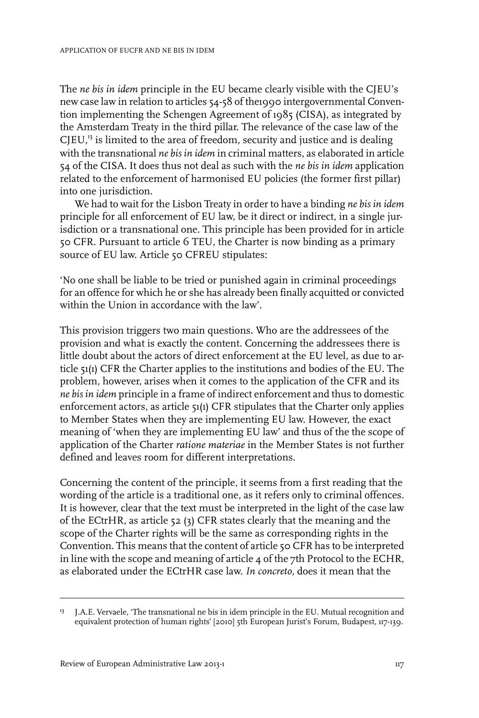The *ne bis in idem* principle in the EU became clearly visible with the CJEU's new case law in relation to articles 54-58 of the1990 intergovernmental Convention implementing the Schengen Agreement of 1985 (CISA), as integrated by the Amsterdam Treaty in the third pillar. The relevance of the case law of the  $CJEU<sub>1</sub><sup>13</sup>$  is limited to the area of freedom, security and justice and is dealing with the transnational *ne bis in idem* in criminal matters, as elaborated in article 54 of the CISA. It does thus not deal as such with the *ne bis in idem* application related to the enforcement of harmonised EU policies (the former first pillar) into one jurisdiction.

We had to wait for the Lisbon Treaty in order to have a binding *ne bis in idem* principle for all enforcement of EU law, be it direct or indirect, in a single jurisdiction or a transnational one. This principle has been provided for in article 50 CFR. Pursuant to article 6 TEU, the Charter is now binding as a primary source of EU law. Article 50 CFREU stipulates:

'No one shall be liable to be tried or punished again in criminal proceedings for an offence for which he or she has already been finally acquitted or convicted within the Union in accordance with the law'.

This provision triggers two main questions. Who are the addressees of the provision and what is exactly the content. Concerning the addressees there is little doubt about the actors of direct enforcement at the EU level, as due to article 51(1) CFR the Charter applies to the institutions and bodies of the EU. The problem, however, arises when it comes to the application of the CFR and its *ne bis in idem* principle in a frame of indirect enforcement and thus to domestic enforcement actors, as article 51(1) CFR stipulates that the Charter only applies to Member States when they are implementing EU law. However, the exact meaning of 'when they are implementing EU law' and thus of the the scope of application of the Charter *ratione materiae* in the Member States is not further defined and leaves room for different interpretations.

Concerning the content of the principle, it seems from a first reading that the wording of the article is a traditional one, as it refers only to criminal offences. It is however, clear that the text must be interpreted in the light of the case law of the ECtrHR, as article 52 (3) CFR states clearly that the meaning and the scope of the Charter rights will be the same as corresponding rights in the Convention. This means that the content of article 50 CFR has to be interpreted in line with the scope and meaning of article 4 of the 7th Protocol to the ECHR, as elaborated under the ECtrHR case law. *In concreto,* does it mean that the

<sup>&</sup>lt;sup>13</sup> J.A.E. Vervaele, 'The transnational ne bis in idem principle in the EU. Mutual recognition and equivalent protection of human rights' [2010] 5th European Jurist's Forum, Budapest, 117-139.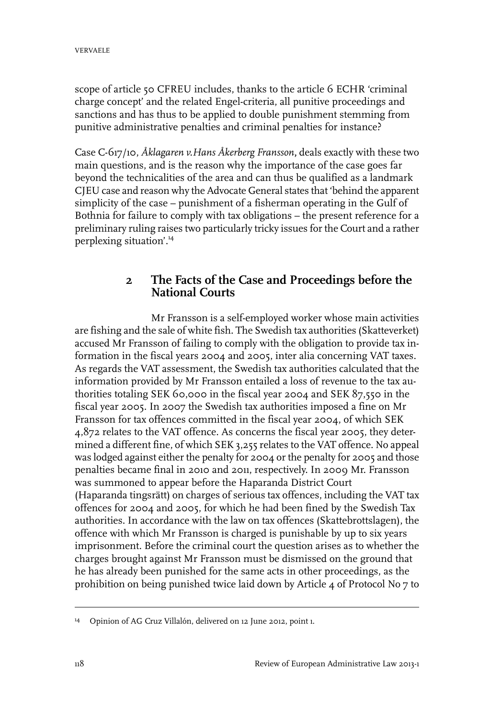scope of article 50 CFREU includes, thanks to the article 6 ECHR 'criminal charge concept' and the related Engel-criteria, all punitive proceedings and sanctions and has thus to be applied to double punishment stemming from punitive administrative penalties and criminal penalties for instance?

Case C-617/10, *Åklagaren v.Hans Åkerberg Fransson***,** deals exactly with these two main questions, and is the reason why the importance of the case goes far beyond the technicalities of the area and can thus be qualified as a landmark CJEU case and reason why the Advocate General states that 'behind the apparent simplicity of the case – punishment of a fisherman operating in the Gulf of Bothnia for failure to comply with tax obligations – the present reference for a preliminary ruling raises two particularly tricky issues for the Court and a rather perplexing situation'.<sup>14</sup>

### **2 The Facts of the Case and Proceedings before the National Courts**

Mr Fransson is a self-employed worker whose main activities are fishing and the sale of white fish. The Swedish tax authorities (Skatteverket) accused Mr Fransson of failing to comply with the obligation to provide tax information in the fiscal years 2004 and 2005, inter alia concerning VAT taxes. As regards the VAT assessment, the Swedish tax authorities calculated that the information provided by Mr Fransson entailed a loss of revenue to the tax authorities totaling SEK 60,000 in the fiscal year 2004 and SEK 87,550 in the fiscal year 2005. In 2007 the Swedish tax authorities imposed a fine on Mr Fransson for tax offences committed in the fiscal year 2004, of which SEK 4,872 relates to the VAT offence. As concerns the fiscal year 2005, they determined a different fine, of which SEK 3,255 relates to the VAT offence. No appeal was lodged against either the penalty for 2004 or the penalty for 2005 and those penalties became final in 2010 and 2011, respectively. In 2009 Mr. Fransson was summoned to appear before the Haparanda District Court (Haparanda tingsrätt) on charges of serious tax offences, including the VAT tax offences for 2004 and 2005, for which he had been fined by the Swedish Tax authorities. In accordance with the law on tax offences (Skattebrottslagen), the offence with which Mr Fransson is charged is punishable by up to six years imprisonment. Before the criminal court the question arises as to whether the charges brought against Mr Fransson must be dismissed on the ground that he has already been punished for the same acts in other proceedings, as the prohibition on being punished twice laid down by Article 4 of Protocol No 7 to

<sup>&</sup>lt;sup>14</sup> Opinion of AG Cruz Villalón, delivered on 12 June 2012, point 1.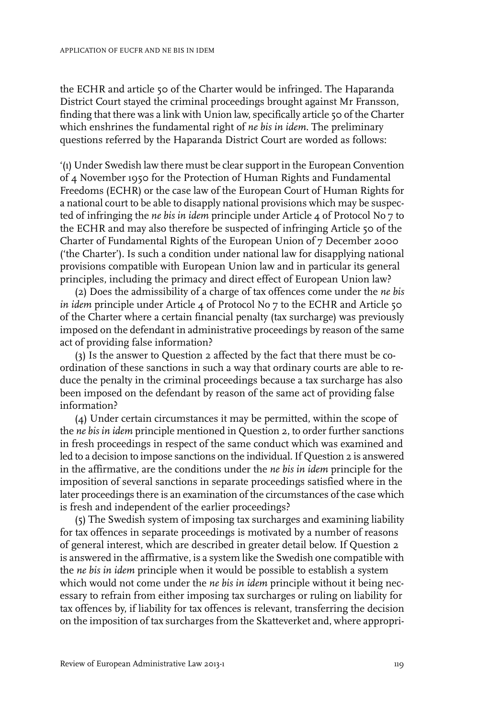the ECHR and article 50 of the Charter would be infringed. The Haparanda District Court stayed the criminal proceedings brought against Mr Fransson, finding that there was a link with Union law, specifically article 50 of the Charter which enshrines the fundamental right of *ne bis in idem*. The preliminary questions referred by the Haparanda District Court are worded as follows:

'(1) Under Swedish law there must be clear support in the European Convention of 4 November 1950 for the Protection of Human Rights and Fundamental Freedoms (ECHR) or the case law of the European Court of Human Rights for a national court to be able to disapply national provisions which may be suspected of infringing the *ne bis in idem* principle under Article 4 of Protocol No 7 to the ECHR and may also therefore be suspected of infringing Article 50 of the Charter of Fundamental Rights of the European Union of 7 December 2000 ('the Charter'). Is such a condition under national law for disapplying national provisions compatible with European Union law and in particular its general principles, including the primacy and direct effect of European Union law?

(2) Does the admissibility of a charge of tax offences come under the *ne bis in idem* principle under Article 4 of Protocol No 7 to the ECHR and Article 50 of the Charter where a certain financial penalty (tax surcharge) was previously imposed on the defendant in administrative proceedings by reason of the same act of providing false information?

(3) Is the answer to Question 2 affected by the fact that there must be coordination of these sanctions in such a way that ordinary courts are able to reduce the penalty in the criminal proceedings because a tax surcharge has also been imposed on the defendant by reason of the same act of providing false information?

(4) Under certain circumstances it may be permitted, within the scope of the *ne bis in idem* principle mentioned in Question 2, to order further sanctions in fresh proceedings in respect of the same conduct which was examined and led to a decision to impose sanctions on the individual. If Question 2 is answered in the affirmative, are the conditions under the *ne bis in idem* principle for the imposition of several sanctions in separate proceedings satisfied where in the later proceedings there is an examination of the circumstances of the case which is fresh and independent of the earlier proceedings?

(5) The Swedish system of imposing tax surcharges and examining liability for tax offences in separate proceedings is motivated by a number of reasons of general interest, which are described in greater detail below. If Question 2 is answered in the affirmative, is a system like the Swedish one compatible with the *ne bis in idem* principle when it would be possible to establish a system which would not come under the *ne bis in idem* principle without it being necessary to refrain from either imposing tax surcharges or ruling on liability for tax offences by, if liability for tax offences is relevant, transferring the decision on the imposition of tax surcharges from the Skatteverket and, where appropri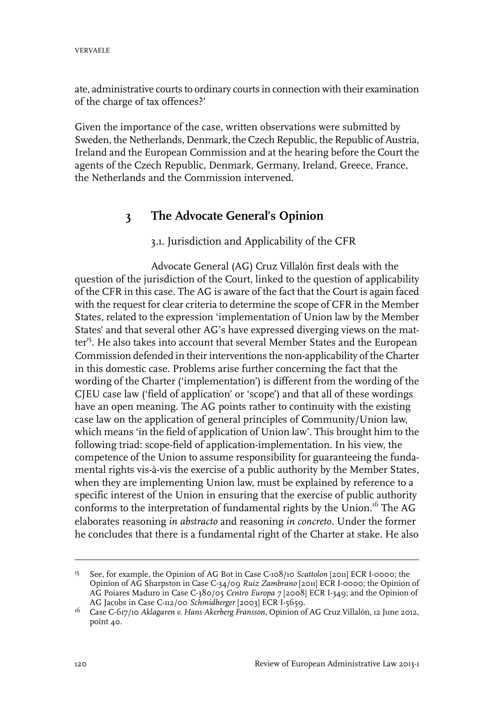ate, administrative courts to ordinary courts in connection with their examination of the charge of tax offences?'

Given the importance of the case, written observations were submitted by Sweden, the Netherlands, Denmark, the Czech Republic, the Republic of Austria, Ireland and the European Commission and at the hearing before the Court the agents of the Czech Republic, Denmark, Germany, Ireland, Greece, France, the Netherlands and the Commission intervened.

## **3 The Advocate General's Opinion**

#### 3.1. Jurisdiction and Applicability of the CFR

Advocate General (AG) Cruz Villalón first deals with the question of the jurisdiction of the Court, linked to the question of applicability of the CFR in this case. The AG is aware of the fact that the Court is again faced with the request for clear criteria to determine the scope of CFR in the Member States, related to the expression 'implementation of Union law by the Member States' and that several other AG's have expressed diverging views on the matter<sup>15</sup>. He also takes into account that several Member States and the European Commission defended in their interventions the non-applicability of the Charter in this domestic case. Problems arise further concerning the fact that the wording of the Charter ('implementation') is different from the wording of the CJEU case law ('field of application' or 'scope') and that all of these wordings have an open meaning. The AG points rather to continuity with the existing case law on the application of general principles of Community/Union law, which means 'in the field of application of Union law'. This brought him to the following triad: scope-field of application-implementation. In his view, the competence of the Union to assume responsibility for guaranteeing the fundamental rights vis-à-vis the exercise of a public authority by the Member States, when they are implementing Union law, must be explained by reference to a specific interest of the Union in ensuring that the exercise of public authority conforms to the interpretation of fundamental rights by the Union.<sup>16</sup> The AG elaborates reasoning *in abstracto* and reasoning *in concreto.* Under the former he concludes that there is a fundamental right of the Charter at stake. He also

<sup>&</sup>lt;sup>15</sup> See, for example, the Opinion of AG Bot in Case C-108/10 *Scattolon* [2011] ECR I-0000; the Opinion of AG Sharpston in Case C-34/09 *Ruiz Zambrano* [2011] ECR I-0000; the Opinion of AG Poiares Maduro in Case C-380/05 *Centro Europa 7* [2008] ECR I-349; and the Opinion of AG Jacobs in Case C-112/00 *Schmidberger* [2003] ECR I-5659.

Case C-617/10 *Aklagaren v. Hans Akerberg Fransson*, Opinion of AG Cruz Villalón, 12 June 2012, 16 point 40.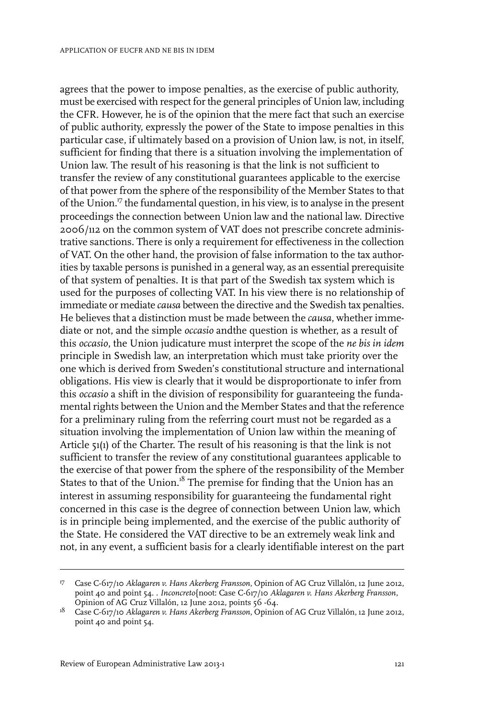agrees that the power to impose penalties, as the exercise of public authority, must be exercised with respect for the general principles of Union law, including the CFR. However, he is of the opinion that the mere fact that such an exercise of public authority, expressly the power of the State to impose penalties in this particular case, if ultimately based on a provision of Union law, is not, in itself, sufficient for finding that there is a situation involving the implementation of Union law. The result of his reasoning is that the link is not sufficient to transfer the review of any constitutional guarantees applicable to the exercise of that power from the sphere of the responsibility of the Member States to that of the Union.<sup>17</sup> the fundamental question, in his view, is to analyse in the present proceedings the connection between Union law and the national law. Directive 2006/112 on the common system of VAT does not prescribe concrete administrative sanctions. There is only a requirement for effectiveness in the collection of VAT. On the other hand, the provision of false information to the tax authorities by taxable persons is punished in a general way, as an essential prerequisite of that system of penalties. It is that part of the Swedish tax system which is used for the purposes of collecting VAT. In his view there is no relationship of immediate or mediate *causa* between the directive and the Swedish tax penalties. He believes that a distinction must be made between the *causa*, whether immediate or not, and the simple *occasio* andthe question is whether, as a result of this *occasio*, the Union judicature must interpret the scope of the *ne bis in idem* principle in Swedish law, an interpretation which must take priority over the one which is derived from Sweden's constitutional structure and international obligations. His view is clearly that it would be disproportionate to infer from this *occasio* a shift in the division of responsibility for guaranteeing the fundamental rights between the Union and the Member States and that the reference for a preliminary ruling from the referring court must not be regarded as a situation involving the implementation of Union law within the meaning of Article 51(1) of the Charter. The result of his reasoning is that the link is not sufficient to transfer the review of any constitutional guarantees applicable to the exercise of that power from the sphere of the responsibility of the Member States to that of the Union.<sup>18</sup> The premise for finding that the Union has an interest in assuming responsibility for guaranteeing the fundamental right concerned in this case is the degree of connection between Union law, which is in principle being implemented, and the exercise of the public authority of the State. He considered the VAT directive to be an extremely weak link and not, in any event, a sufficient basis for a clearly identifiable interest on the part

Case C-617/10 *Aklagaren v. Hans Akerberg Fransson*, Opinion of AG Cruz Villalón, 12 June 2012, 17 point 40 and point 54. . *Inconcreto*{noot: Case C-617/10 *Aklagaren v. Hans Akerberg Fransson*, Opinion of AG Cruz Villalón, 12 June 2012, points 56 -64.

Case C-617/10 *Aklagaren v. Hans Akerberg Fransson*, Opinion of AG Cruz Villalón, 12 June 2012, 18 point 40 and point 54.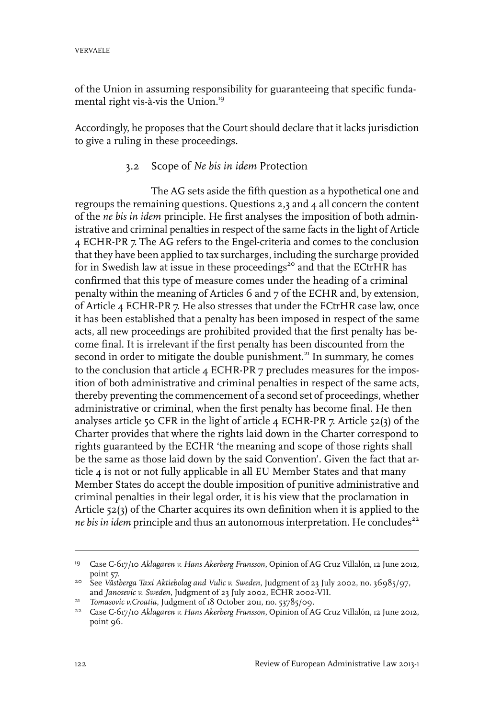of the Union in assuming responsibility for guaranteeing that specific fundamental right vis-à-vis the Union.<sup>19</sup>

Accordingly, he proposes that the Court should declare that it lacks jurisdiction to give a ruling in these proceedings.

#### 3.2 Scope of *Ne bis in idem* Protection

The AG sets aside the fifth question as a hypothetical one and regroups the remaining questions. Questions 2,3 and 4 all concern the content of the *ne bis in idem* principle. He first analyses the imposition of both administrative and criminal penalties in respect of the same facts in the light of Article 4 ECHR-PR 7. The AG refers to the Engel-criteria and comes to the conclusion that they have been applied to tax surcharges, including the surcharge provided for in Swedish law at issue in these proceedings<sup>20</sup> and that the ECtrHR has confirmed that this type of measure comes under the heading of a criminal penalty within the meaning of Articles 6 and 7 of the ECHR and, by extension, of Article 4 ECHR-PR 7. He also stresses that under the ECtrHR case law, once it has been established that a penalty has been imposed in respect of the same acts, all new proceedings are prohibited provided that the first penalty has become final. It is irrelevant if the first penalty has been discounted from the second in order to mitigate the double punishment.<sup>21</sup> In summary, he comes to the conclusion that article 4 ECHR-PR 7 precludes measures for the imposition of both administrative and criminal penalties in respect of the same acts, thereby preventing the commencement of a second set of proceedings, whether administrative or criminal, when the first penalty has become final. He then analyses article 50 CFR in the light of article 4 ECHR-PR 7. Article 52(3) of the Charter provides that where the rights laid down in the Charter correspond to rights guaranteed by the ECHR 'the meaning and scope of those rights shall be the same as those laid down by the said Convention'. Given the fact that article 4 is not or not fully applicable in all EU Member States and that many Member States do accept the double imposition of punitive administrative and criminal penalties in their legal order, it is his view that the proclamation in Article 52(3) of the Charter acquires its own definition when it is applied to the *ne bis in idem* principle and thus an autonomous interpretation. He concludes<sup>22</sup>

Case C-617/10 *Aklagaren v. Hans Akerberg Fransson*, Opinion of AG Cruz Villalón, 12 June 2012, 19 point 57.

See *Västberga Taxi Aktiebolag and Vulic v. Sweden*, Judgment of 23 July 2002, no. 36985/97, 20 and *Janosevic v. Sweden*, Judgment of 23 July 2002, ECHR 2002-VII.

<sup>&</sup>lt;sup>21</sup> Tomasovic *v.Croatia*, Judgment of 18 October 2011, no. 53785/09.

Case C-617/10 *Aklagaren v. Hans Akerberg Fransson*, Opinion of AG Cruz Villalón, 12 June 2012, 22 point 96.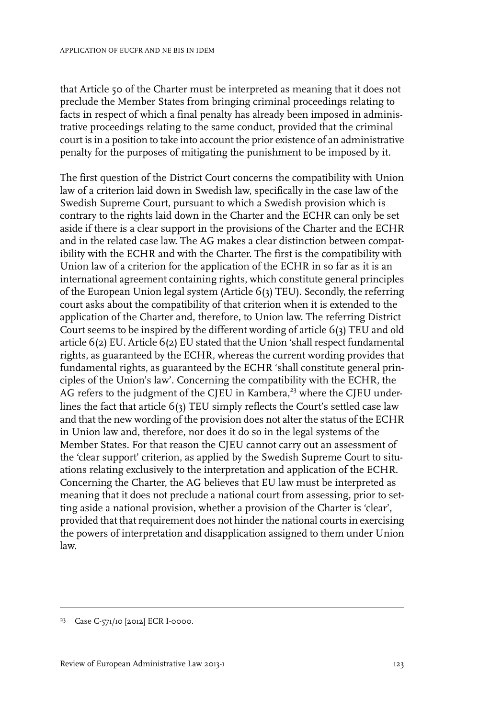that Article 50 of the Charter must be interpreted as meaning that it does not preclude the Member States from bringing criminal proceedings relating to facts in respect of which a final penalty has already been imposed in administrative proceedings relating to the same conduct, provided that the criminal court is in a position to take into account the prior existence of an administrative penalty for the purposes of mitigating the punishment to be imposed by it.

The first question of the District Court concerns the compatibility with Union law of a criterion laid down in Swedish law, specifically in the case law of the Swedish Supreme Court, pursuant to which a Swedish provision which is contrary to the rights laid down in the Charter and the ECHR can only be set aside if there is a clear support in the provisions of the Charter and the ECHR and in the related case law. The AG makes a clear distinction between compatibility with the ECHR and with the Charter. The first is the compatibility with Union law of a criterion for the application of the ECHR in so far as it is an international agreement containing rights, which constitute general principles of the European Union legal system (Article 6(3) TEU). Secondly, the referring court asks about the compatibility of that criterion when it is extended to the application of the Charter and, therefore, to Union law. The referring District Court seems to be inspired by the different wording of article 6(3) TEU and old article 6(2) EU. Article 6(2) EU stated that the Union 'shall respect fundamental rights, as guaranteed by the ECHR, whereas the current wording provides that fundamental rights, as guaranteed by the ECHR 'shall constitute general principles of the Union's law'. Concerning the compatibility with the ECHR, the AG refers to the judgment of the CJEU in Kambera,<sup>23</sup> where the CJEU underlines the fact that article 6(3) TEU simply reflects the Court's settled case law and that the new wording of the provision does not alter the status of the ECHR in Union law and, therefore, nor does it do so in the legal systems of the Member States. For that reason the CJEU cannot carry out an assessment of the 'clear support' criterion, as applied by the Swedish Supreme Court to situations relating exclusively to the interpretation and application of the ECHR. Concerning the Charter, the AG believes that EU law must be interpreted as meaning that it does not preclude a national court from assessing, prior to setting aside a national provision, whether a provision of the Charter is 'clear', provided that that requirement does not hinder the national courts in exercising the powers of interpretation and disapplication assigned to them under Union law.

<sup>&</sup>lt;sup>23</sup> Case C-571/10 [2012] ECR I-0000.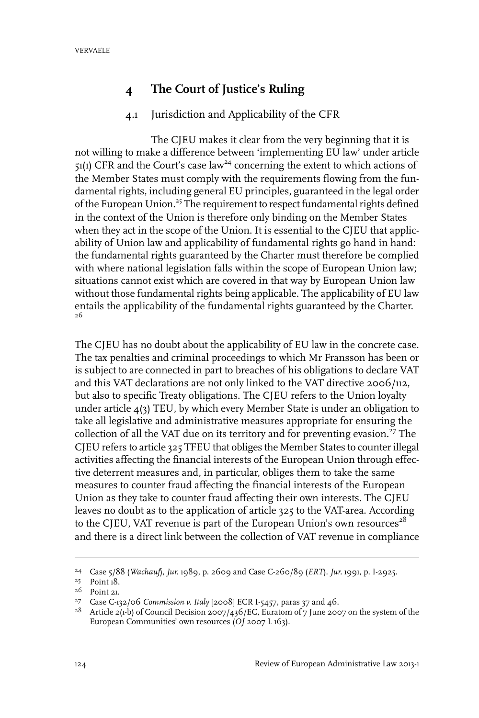### **4 The Court of Justice's Ruling**

#### 4.1 Jurisdiction and Applicability of the CFR

The CJEU makes it clear from the very beginning that it is not willing to make a difference between 'implementing EU law' under article  $51(1)$  CFR and the Court's case law<sup>24</sup> concerning the extent to which actions of the Member States must comply with the requirements flowing from the fundamental rights, including general EU principles, guaranteed in the legal order of the European Union.<sup>25</sup> The requirement to respect fundamental rights defined in the context of the Union is therefore only binding on the Member States when they act in the scope of the Union. It is essential to the CIEU that applicability of Union law and applicability of fundamental rights go hand in hand: the fundamental rights guaranteed by the Charter must therefore be complied with where national legislation falls within the scope of European Union law; situations cannot exist which are covered in that way by European Union law without those fundamental rights being applicable. The applicability of EU law entails the applicability of the fundamental rights guaranteed by the Charter. 26

The CJEU has no doubt about the applicability of EU law in the concrete case. The tax penalties and criminal proceedings to which Mr Fransson has been or is subject to are connected in part to breaches of his obligations to declare VAT and this VAT declarations are not only linked to the VAT directive 2006/112, but also to specific Treaty obligations. The CJEU refers to the Union loyalty under article  $4(3)$  TEU, by which every Member State is under an obligation to take all legislative and administrative measures appropriate for ensuring the collection of all the VAT due on its territory and for preventing evasion.<sup>27</sup> The CJEU refers to article 325 TFEU that obliges the Member States to counterillegal activities affecting the financial interests of the European Union through effective deterrent measures and, in particular, obliges them to take the same measures to counter fraud affecting the financial interests of the European Union as they take to counter fraud affecting their own interests. The CJEU leaves no doubt as to the application of article 325 to the VAT-area. According to the CJEU, VAT revenue is part of the European Union's own resources<sup>28</sup> and there is a direct link between the collection of VAT revenue in compliance

Case 5/88 (*Wachauf*), *Jur.* 1989, p. 2609 and Case C-260/89 (*ERT*). *Jur.* 1991, p.I-2925. <sup>24</sup>

<sup>&</sup>lt;sup>25</sup> Point 18.

<sup>&</sup>lt;sup>26</sup> Point 21.

Case C-132/06 *Commission v. Italy* [2008] ECR I-5457, paras 37 and 46. <sup>27</sup>

<sup>&</sup>lt;sup>28</sup> Article 2(1-b) of Council Decision 2007/436/EC, Euratom of 7 June 2007 on the system of the European Communities' own resources (*OJ* 2007 L 163).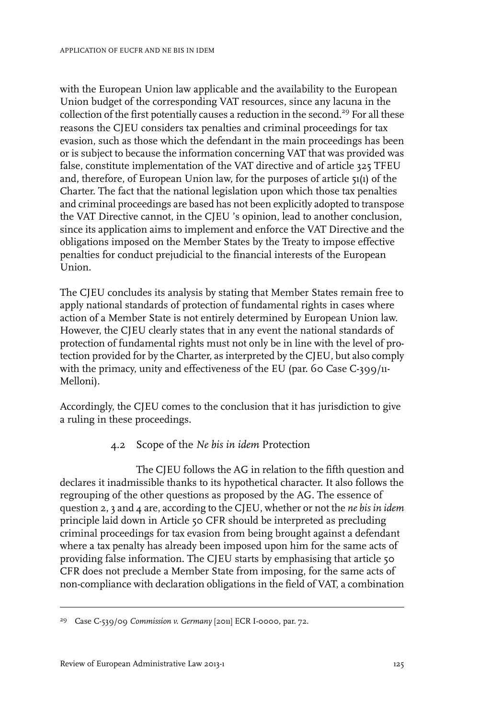with the European Union law applicable and the availability to the European Union budget of the corresponding VAT resources, since any lacuna in the collection of the first potentially causes a reduction in the second.<sup>29</sup> For all these reasons the CJEU considers tax penalties and criminal proceedings for tax evasion, such as those which the defendant in the main proceedings has been or is subject to because the information concerning VAT that was provided was false, constitute implementation of the VAT directive and of article 325 TFEU and, therefore, of European Union law, for the purposes of article 51(1) of the Charter. The fact that the national legislation upon which those tax penalties and criminal proceedings are based has not been explicitly adopted to transpose the VAT Directive cannot, in the CJEU 's opinion, lead to another conclusion, since its application aims to implement and enforce the VAT Directive and the obligations imposed on the Member States by the Treaty to impose effective penalties for conduct prejudicial to the financial interests of the European Union.

The CJEU concludes its analysis by stating that Member States remain free to apply national standards of protection of fundamental rights in cases where action of a Member State is not entirely determined by European Union law. However, the CJEU clearly states that in any event the national standards of protection of fundamental rights must not only be in line with the level of protection provided for by the Charter, as interpreted by the CJEU, but also comply with the primacy, unity and effectiveness of the EU (par. 60 Case C-399/11-Melloni).

Accordingly, the CJEU comes to the conclusion that it has jurisdiction to give a ruling in these proceedings.

#### 4.2 Scope of the *Ne bis in idem* Protection

The CJEU follows the AG in relation to the fifth question and declares it inadmissible thanks to its hypothetical character. It also follows the regrouping of the other questions as proposed by the AG. The essence of question 2, 3 and 4 are, according to the CJEU, whether or not the *ne bis in idem* principle laid down in Article 50 CFR should be interpreted as precluding criminal proceedings for tax evasion from being brought against a defendant where a tax penalty has already been imposed upon him for the same acts of providing false information. The CJEU starts by emphasising that article 50 CFR does not preclude a Member State from imposing, for the same acts of non-compliance with declaration obligations in the field of VAT, a combination

<sup>&</sup>lt;sup>29</sup> Case C-539/09 *Commission v. Germany* [2011] ECR I-0000, par. 72.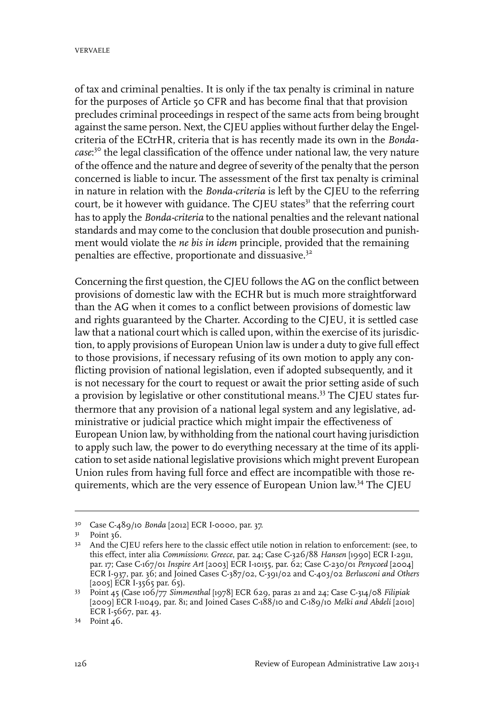of tax and criminal penalties. It is only if the tax penalty is criminal in nature for the purposes of Article 50 CFR and has become final that that provision precludes criminal proceedings in respect of the same acts from being brought against the same person. Next, the CJEU applies without further delay the Engelcriteria of the ECtrHR, criteria that is has recently made its own in the *Bondacase*: <sup>30</sup> the legal classification of the offence under national law, the very nature of the offence and the nature and degree of severity of the penalty that the person concerned is liable to incur. The assessment of the first tax penalty is criminal in nature in relation with the *Bonda-criteria* is left by the CJEU to the referring court, be it however with guidance. The CJEU states<sup>31</sup> that the referring court has to apply the *Bonda-criteria* to the national penalties and the relevant national standards and may come to the conclusion that double prosecution and punishment would violate the *ne bis in idem* principle, provided that the remaining penalties are effective, proportionate and dissuasive.<sup>32</sup>

Concerning the first question, the CJEU follows the AG on the conflict between provisions of domestic law with the ECHR but is much more straightforward than the AG when it comes to a conflict between provisions of domestic law and rights guaranteed by the Charter. According to the CJEU, it is settled case law that a national court which is called upon, within the exercise of its jurisdiction, to apply provisions of European Union law is under a duty to give full effect to those provisions, if necessary refusing of its own motion to apply any conflicting provision of national legislation, even if adopted subsequently, and it is not necessary for the court to request or await the prior setting aside of such a provision by legislative or other constitutional means.<sup>33</sup> The CJEU states furthermore that any provision of a national legal system and any legislative, administrative or judicial practice which might impair the effectiveness of European Union law, by withholding from the national court having jurisdiction to apply such law, the power to do everything necessary at the time of its application to set aside national legislative provisions which might prevent European Union rules from having full force and effect are incompatible with those requirements, which are the very essence of European Union law.<sup>34</sup> The CJEU

Case C-489/10 *Bonda* [2012] ECR I-0000, par. 37. 30

 $3<sup>1</sup>$  Point 36.

<sup>&</sup>lt;sup>32</sup> And the CJEU refers here to the classic effect utile notion in relation to enforcement: (see, to this effect, inter alia *Commissionv. Greece*, par. 24; Case C-326/88 *Hansen* [1990] ECR I-2911, par. 17; Case C-167/01 *Inspire Art* [2003] ECR I-10155, par. 62; Case C-230/01 *Penycoed* [2004] ECR I-937, par. 36; and Joined Cases C-387/02, C-391/02 and C-403/02 *Berlusconi and Others* [2005] ECR I-3565 par. 65).

Point 45 (Case 106/77 *Simmenthal* [1978] ECR 629, paras 21 and 24; Case C-314/08 *Filipiak* 33 [2009] ECR I-11049, par. 81; and Joined Cases C-188/10 and C-189/10 *Melki and Abdeli* [2010] ECR I-5667, par. 43.

Point 46. <sup>34</sup>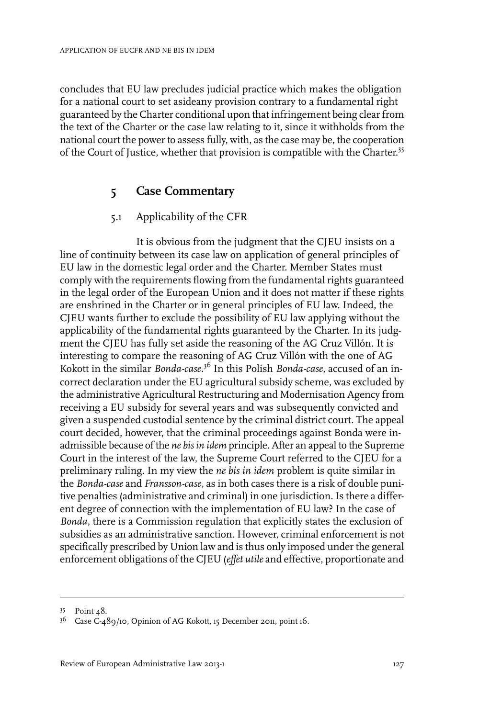concludes that EU law precludes judicial practice which makes the obligation for a national court to set asideany provision contrary to a fundamental right guaranteed by the Charter conditional upon that infringement being clearfrom the text of the Charter or the case law relating to it, since it withholds from the national court the power to assess fully, with, as the case may be, the cooperation of the Court of Justice, whether that provision is compatible with the Charter.<sup>35</sup>

## **5 Case Commentary**

#### 5.1 Applicability of the CFR

It is obvious from the judgment that the CJEU insists on a line of continuity between its case law on application of general principles of EU law in the domestic legal order and the Charter. Member States must comply with the requirements flowing from the fundamental rights guaranteed in the legal order of the European Union and it does not matter if these rights are enshrined in the Charter or in general principles of EU law. Indeed, the CJEU wants further to exclude the possibility of EU law applying without the applicability of the fundamental rights guaranteed by the Charter. In its judgment the CJEU has fully set aside the reasoning of the AG Cruz Villón. It is interesting to compare the reasoning of AG Cruz Villón with the one of AG Kokott in the similar *Bonda-case.*<sup>36</sup> In this Polish *Bonda-case*, accused of an incorrect declaration under the EU agricultural subsidy scheme, was excluded by the administrative Agricultural Restructuring and Modernisation Agency from receiving a EU subsidy for several years and was subsequently convicted and given a suspended custodial sentence by the criminal district court. The appeal court decided, however, that the criminal proceedings against Bonda were inadmissible because of the *ne bis in idem* principle. After an appeal to the Supreme Court in the interest of the law, the Supreme Court referred to the CJEU for a preliminary ruling. In my view the *ne bis in idem* problem is quite similar in the *Bonda-case* and *Fransson-case*, as in both cases there is a risk of double punitive penalties (administrative and criminal) in one jurisdiction. Is there a different degree of connection with the implementation of EU law? In the case of *Bonda*, there is a Commission regulation that explicitly states the exclusion of subsidies as an administrative sanction. However, criminal enforcement is not specifically prescribed by Union law and is thus only imposed under the general enforcement obligations of the CJEU (*effet utile* and effective, proportionate and

Point 48. <sup>35</sup>

<sup>&</sup>lt;sup>36</sup> Case C-489/10, Opinion of AG Kokott, 15 December 2011, point 16.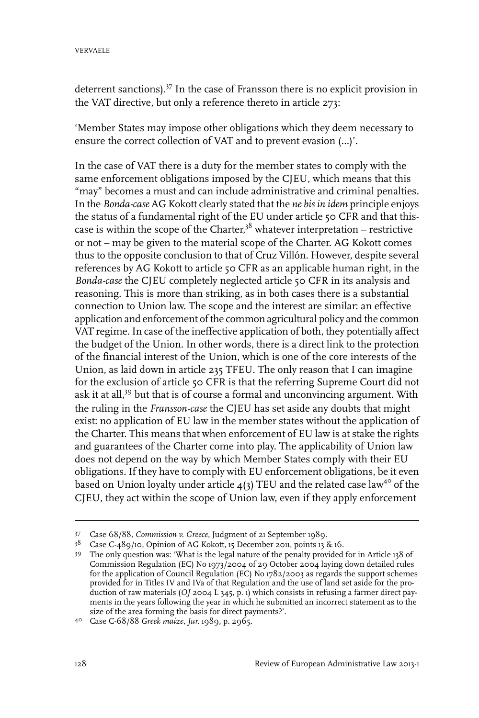deterrent sanctions).<sup>37</sup> In the case of Fransson there is no explicit provision in the VAT directive, but only a reference thereto in article 273:

'Member States may impose other obligations which they deem necessary to ensure the correct collection of VAT and to prevent evasion (…)'.

In the case of VAT there is a duty for the member states to comply with the same enforcement obligations imposed by the CJEU, which means that this "may" becomes a must and can include administrative and criminal penalties. In the *Bonda-case* AG Kokott clearly stated that the *ne bis in idem* principle enjoys the status of a fundamental right of the EU under article 50 CFR and that thiscase is within the scope of the Charter,<sup>38</sup> whatever interpretation – restrictive or not – may be given to the material scope of the Charter. AG Kokott comes thus to the opposite conclusion to that of Cruz Villón. However, despite several references by AG Kokott to article 50 CFR as an applicable human right, in the *Bonda-case* the CJEU completely neglected article 50 CFR in its analysis and reasoning. This is more than striking, as in both cases there is a substantial connection to Union law. The scope and the interest are similar: an effective application and enforcement of the common agricultural policy and the common VAT regime. In case of the ineffective application of both, they potentially affect the budget of the Union. In other words, there is a direct link to the protection of the financial interest of the Union, which is one of the core interests of the Union, as laid down in article 235 TFEU. The only reason that I can imagine for the exclusion of article 50 CFR is that the referring Supreme Court did not ask it at all,<sup>39</sup> but that is of course a formal and unconvincing argument. With the ruling in the *Fransson-case* the CJEU has set aside any doubts that might exist: no application of EU law in the member states without the application of the Charter. This means that when enforcement of EU law is at stake the rights and guarantees of the Charter come into play. The applicability of Union law does not depend on the way by which Member States comply with their EU obligations. If they have to comply with EU enforcement obligations, be it even based on Union loyalty under article  $4(3)$  TEU and the related case law<sup>40</sup> of the CJEU, they act within the scope of Union law, even if they apply enforcement

Case 68/88, *Commission v. Greece*, Judgment of 21 September 1989. <sup>37</sup>

<sup>&</sup>lt;sup>38</sup> Case C-489/10, Opinion of AG Kokott, 15 December 2011, points 13 & 16.

The only question was: 'What is the legal nature of the penalty provided for in Article 138 of 39 Commission Regulation (EC) No 1973/2004 of 29 October 2004 laying down detailed rules for the application of Council Regulation (EC) No  $1782/2003$  as regards the support schemes provided for in Titles IV and IVa of that Regulation and the use of land set aside for the production of raw materials (*OJ* 2004 L 345, p. 1) which consists in refusing a farmer direct payments in the years following the year in which he submitted an incorrect statement as to the size of the area forming the basis for direct payments?'.

Case C-68/88 *Greek maize*, *Jur.* 1989, p. 2965. <sup>40</sup>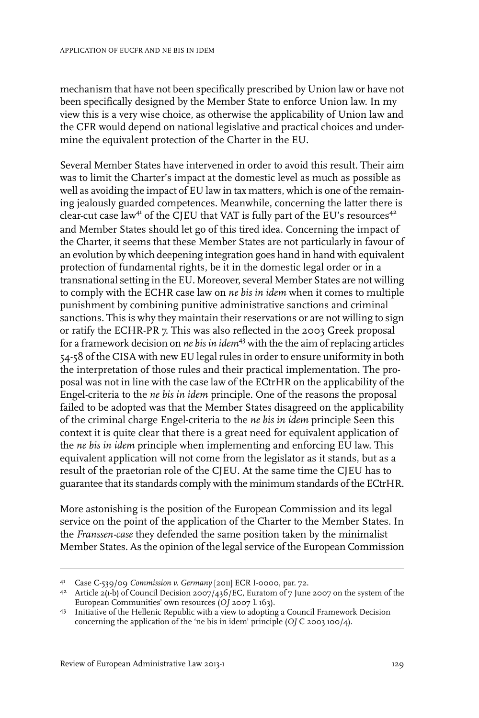mechanism that have not been specifically prescribed by Union law or have not been specifically designed by the Member State to enforce Union law. In my view this is a very wise choice, as otherwise the applicability of Union law and the CFR would depend on national legislative and practical choices and undermine the equivalent protection of the Charter in the EU.

Several Member States have intervened in order to avoid this result. Their aim was to limit the Charter's impact at the domestic level as much as possible as well as avoiding the impact of EU law in tax matters, which is one of the remaining jealously guarded competences. Meanwhile, concerning the latter there is clear-cut case law<sup>41</sup> of the CJEU that VAT is fully part of the EU's resources<sup>42</sup> and Member States should let go of this tired idea. Concerning the impact of the Charter, it seems that these Member States are not particularly in favour of an evolution by which deepening integration goes hand in hand with equivalent protection of fundamental rights, be it in the domestic legal order or in a transnational setting in the EU. Moreover, several Member States are not willing to comply with the ECHR case law on *ne bis in idem* when it comes to multiple punishment by combining punitive administrative sanctions and criminal sanctions. This is why they maintain their reservations or are not willing to sign or ratify the ECHR-PR 7. This was also reflected in the 2003 Greek proposal for a framework decision on *ne bis in idem*<sup>43</sup> with the the aim ofreplacing articles 54-58 of the CISA with new EU legal rules in order to ensure uniformity in both the interpretation of those rules and their practical implementation. The proposal was not in line with the case law of the ECtrHR on the applicability of the Engel-criteria to the *ne bis in idem* principle. One of the reasons the proposal failed to be adopted was that the Member States disagreed on the applicability of the criminal charge Engel-criteria to the *ne bis in idem* principle Seen this context it is quite clear that there is a great need for equivalent application of the *ne bis in idem* principle when implementing and enforcing EU law. This equivalent application will not come from the legislator as it stands, but as a result of the praetorian role of the CJEU. At the same time the CJEU has to guarantee that its standards comply with the minimum standards of the ECtrHR.

More astonishing is the position of the European Commission and its legal service on the point of the application of the Charter to the Member States. In the *Franssen-case* they defended the same position taken by the minimalist Member States. As the opinion of the legal service of the European Commission

Case C-539/09 *Commission v. Germany* [2011] ECR I-0000, par. 72. <sup>41</sup>

<sup>&</sup>lt;sup>42</sup> Article 2(1-b) of Council Decision 2007/436/EC, Euratom of 7 June 2007 on the system of the European Communities' own resources (*OJ* 2007 L 163).

<sup>43</sup> Initiative of the Hellenic Republic with a view to adopting a Council Framework Decision concerning the application of the 'ne bis in idem' principle (*OJ* C 2003 100/4).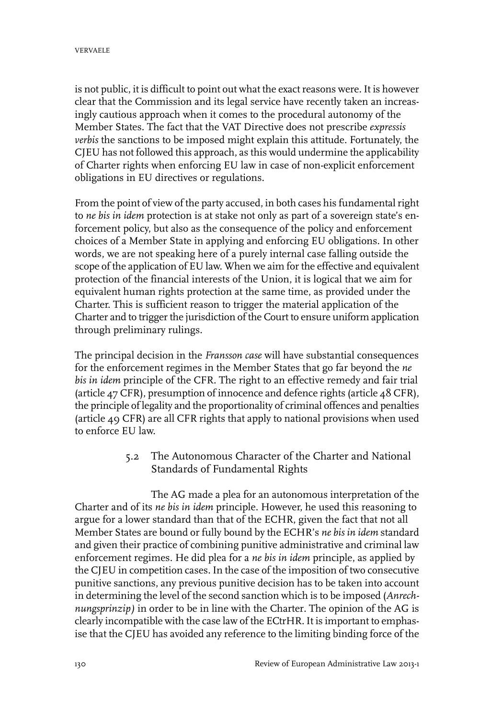is not public, it is difficult to point out what the exact reasons were. It is however clear that the Commission and its legal service have recently taken an increasingly cautious approach when it comes to the procedural autonomy of the Member States. The fact that the VAT Directive does not prescribe *expressis verbis* the sanctions to be imposed might explain this attitude. Fortunately, the CJEU has not followed this approach, as this would undermine the applicability of Charter rights when enforcing EU law in case of non-explicit enforcement obligations in EU directives or regulations.

From the point of view of the party accused, in both cases his fundamental right to *ne bis in idem* protection is at stake not only as part of a sovereign state's enforcement policy, but also as the consequence of the policy and enforcement choices of a Member State in applying and enforcing EU obligations. In other words, we are not speaking here of a purely internal case falling outside the scope of the application of EU law. When we aim for the effective and equivalent protection of the financial interests of the Union, it is logical that we aim for equivalent human rights protection at the same time, as provided under the Charter. This is sufficient reason to trigger the material application of the Charter and to trigger the jurisdiction of the Court to ensure uniform application through preliminary rulings.

The principal decision in the *Fransson case* will have substantial consequences for the enforcement regimes in the Member States that go far beyond the *ne bis in idem* principle of the CFR. The right to an effective remedy and fair trial (article 47 CFR), presumption of innocence and defence rights (article 48 CFR), the principle of legality and the proportionality of criminal offences and penalties (article 49 CFR) are all CFR rights that apply to national provisions when used to enforce EU law.

> 5.2 The Autonomous Character of the Charter and National Standards of Fundamental Rights

The AG made a plea for an autonomous interpretation of the Charter and of its *ne bis in idem* principle. However, he used this reasoning to argue for a lower standard than that of the ECHR, given the fact that not all Member States are bound or fully bound by the ECHR's *ne bis in idem* standard and given their practice of combining punitive administrative and criminal law enforcement regimes. He did plea for a *ne bis in idem* principle, as applied by the CJEU in competition cases. In the case of the imposition of two consecutive punitive sanctions, any previous punitive decision has to be taken into account in determining the level of the second sanction which is to be imposed (*Anrechnungsprinzip)* in order to be in line with the Charter*.* The opinion of the AG is clearly incompatible with the case law of the ECtrHR. It is important to emphasise that the CJEU has avoided any reference to the limiting binding force of the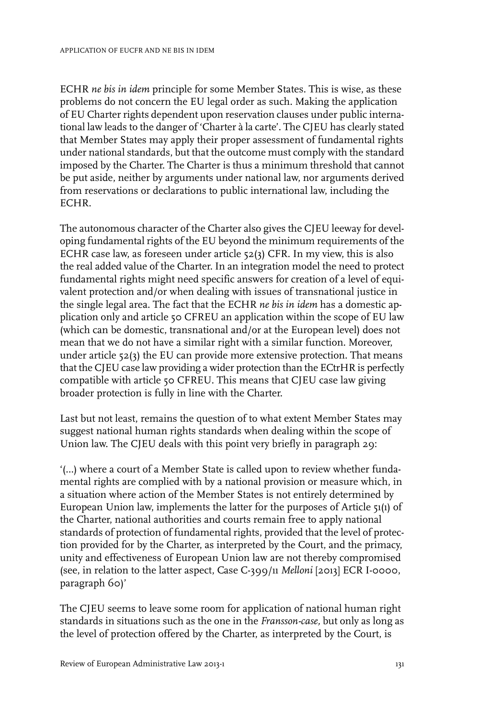ECHR *ne bis in idem* principle for some Member States. This is wise, as these problems do not concern the EU legal order as such. Making the application of EU Charter rights dependent upon reservation clauses under public international law leads to the danger of 'Charter à la carte'. The CJEU has clearly stated that Member States may apply their proper assessment of fundamental rights under national standards, but that the outcome must comply with the standard imposed by the Charter. The Charter is thus a minimum threshold that cannot be put aside, neither by arguments under national law, nor arguments derived from reservations or declarations to public international law, including the ECHR.

The autonomous character of the Charter also gives the CJEU leeway for developing fundamental rights of the EU beyond the minimum requirements of the ECHR case law, as foreseen under article 52(3) CFR. In my view, this is also the real added value of the Charter. In an integration model the need to protect fundamental rights might need specific answers for creation of a level of equivalent protection and/or when dealing with issues of transnational justice in the single legal area. The fact that the ECHR *ne bis in idem* has a domestic application only and article 50 CFREU an application within the scope of EU law (which can be domestic, transnational and/or at the European level) does not mean that we do not have a similar right with a similar function. Moreover, under article  $52(3)$  the EU can provide more extensive protection. That means that the CJEU case law providing a wider protection than the ECtrHR is perfectly compatible with article 50 CFREU. This means that CJEU case law giving broader protection is fully in line with the Charter.

Last but not least, remains the question of to what extent Member States may suggest national human rights standards when dealing within the scope of Union law. The CJEU deals with this point very briefly in paragraph 29:

'(…) where a court of a Member State is called upon to review whether fundamental rights are complied with by a national provision or measure which, in a situation where action of the Member States is not entirely determined by European Union law, implements the latter for the purposes of Article 51(1) of the Charter, national authorities and courts remain free to apply national standards of protection of fundamental rights, provided that the level of protection provided for by the Charter, as interpreted by the Court, and the primacy, unity and effectiveness of European Union law are not thereby compromised (see, in relation to the latter aspect, Case C-399/11 *Melloni* [2013] ECR I-0000, paragraph 60)'

The CJEU seems to leave some room for application of national human right standards in situations such as the one in the *Fransson-case,* but only as long as the level of protection offered by the Charter, as interpreted by the Court, is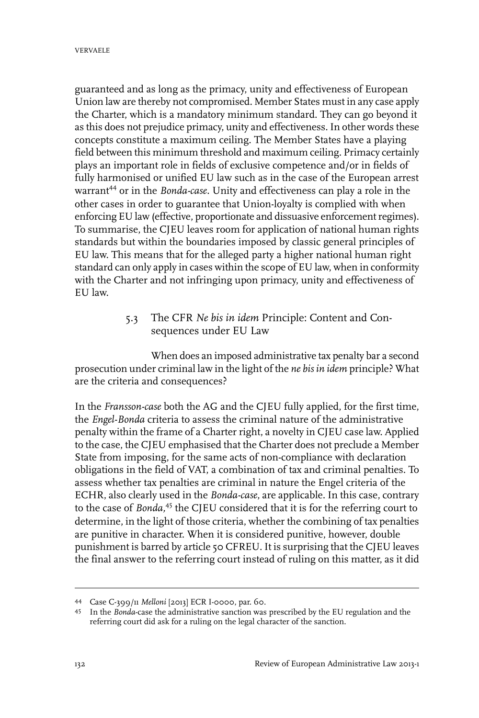guaranteed and as long as the primacy, unity and effectiveness of European Union law are thereby not compromised. Member States must in any case apply the Charter, which is a mandatory minimum standard. They can go beyond it as this does not prejudice primacy, unity and effectiveness. In other words these concepts constitute a maximum ceiling. The Member States have a playing field between this minimum threshold and maximum ceiling. Primacy certainly plays an important role in fields of exclusive competence and/or in fields of fully harmonised or unified EU law such as in the case of the European arrest warrant<sup>44</sup> or in the *Bonda-case*. Unity and effectiveness can play a role in the other cases in order to guarantee that Union-loyalty is complied with when enforcing EU law (effective, proportionate and dissuasive enforcement regimes). To summarise, the CJEU leaves room for application of national human rights standards but within the boundaries imposed by classic general principles of EU law. This means that for the alleged party a higher national human right standard can only apply in cases within the scope of EU law, when in conformity with the Charter and not infringing upon primacy, unity and effectiveness of EU law.

#### 5.3 The CFR *Ne bis in idem* Principle: Content and Consequences under EU Law

When does an imposed administrative tax penalty bar a second prosecution under criminal law in the light of the *ne bis in idem* principle? What are the criteria and consequences?

In the *Fransson-case* both the AG and the CJEU fully applied, for the first time, the *Engel-Bonda* criteria to assess the criminal nature of the administrative penalty within the frame of a Charter right, a novelty in CJEU case law. Applied to the case, the CJEU emphasised that the Charter does not preclude a Member State from imposing, for the same acts of non-compliance with declaration obligations in the field of VAT, a combination of tax and criminal penalties. To assess whether tax penalties are criminal in nature the Engel criteria of the ECHR, also clearly used in the *Bonda-case*, are applicable. In this case, contrary to the case of *Bonda,*<sup>45</sup> the CJEU considered that it is for the referring court to determine, in the light of those criteria, whether the combining of tax penalties are punitive in character. When it is considered punitive, however, double punishment is barred by article 50 CFREU. It is surprising that the CJEU leaves the final answer to the referring court instead of ruling on this matter, as it did

Case C-399/11 *Melloni* [2013] ECR I-0000, par. 60. <sup>44</sup>

<sup>45</sup> In the *Bonda*-case the administrative sanction was prescribed by the EU regulation and the referring court did ask for a ruling on the legal character of the sanction.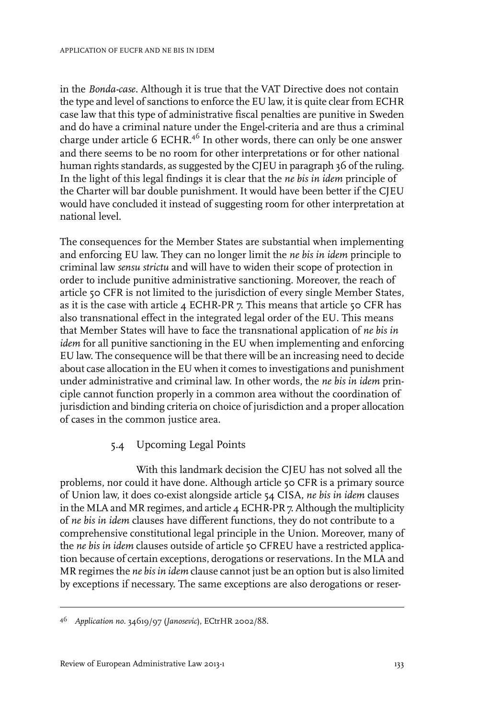in the *Bonda-case.* Although it is true that the VAT Directive does not contain the type and level of sanctions to enforce the EU law, it is quite clear from ECHR case law that this type of administrative fiscal penalties are punitive in Sweden and do have a criminal nature under the Engel-criteria and are thus a criminal charge under article 6 ECHR.<sup>46</sup> In other words, there can only be one answer and there seems to be no room for other interpretations or for other national human rights standards, as suggested by the CJEU in paragraph 36 of the ruling. In the light of this legal findings it is clear that the *ne bis in idem* principle of the Charter will bar double punishment. It would have been better if the CJEU would have concluded it instead of suggesting room for other interpretation at national level.

The consequences for the Member States are substantial when implementing and enforcing EU law. They can no longer limit the *ne bis in idem* principle to criminal law *sensu strictu* and will have to widen their scope of protection in order to include punitive administrative sanctioning. Moreover, the reach of article 50 CFR is not limited to the jurisdiction of every single Member States, as it is the case with article 4 ECHR-PR 7. This means that article 50 CFR has also transnational effect in the integrated legal order of the EU. This means that Member States will have to face the transnational application of *ne bis in idem* for all punitive sanctioning in the EU when implementing and enforcing EU law. The consequence will be that there will be an increasing need to decide about case allocation in the EU when it comes to investigations and punishment under administrative and criminal law. In other words, the *ne bis in idem* principle cannot function properly in a common area without the coordination of jurisdiction and binding criteria on choice of jurisdiction and a proper allocation of cases in the common justice area.

#### 5.4 Upcoming Legal Points

With this landmark decision the CJEU has not solved all the problems, nor could it have done. Although article 50 CFR is a primary source of Union law, it does co-exist alongside article 54 CISA, *ne bis in idem* clauses in the MLA and MR regimes, and article 4 ECHR-PR 7. Although the multiplicity of *ne bis in idem* clauses have different functions, they do not contribute to a comprehensive constitutional legal principle in the Union. Moreover, many of the *ne bis in idem* clauses outside of article 50 CFREU have a restricted application because of certain exceptions, derogations or reservations. In the MLA and MR regimes the *ne bis in idem* clause cannot just be an option but is also limited by exceptions if necessary. The same exceptions are also derogations or reser-

*Application no.* 34619/97 (*Janosevic*), ECtrHR 2002/88. <sup>46</sup>